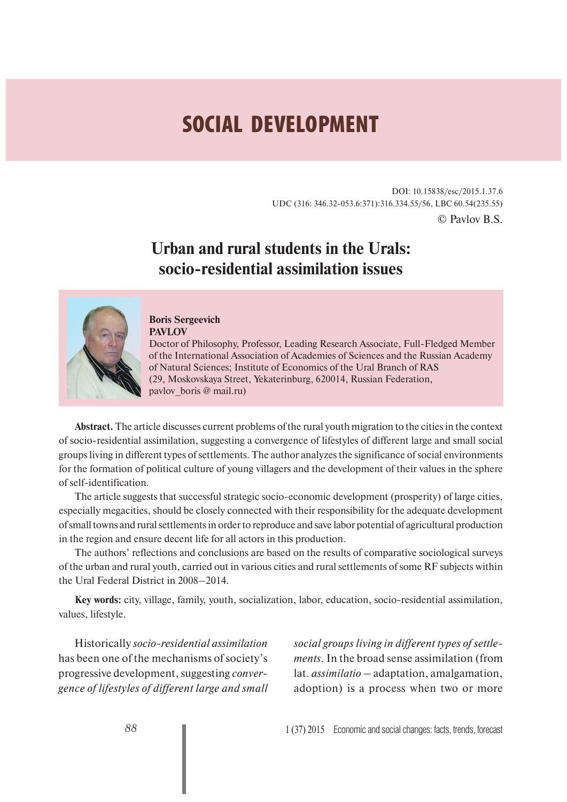# **SOCIAL DEVELOPMENT**

DOI: 10.15838/esc/2015.1.37.6 UDC (316: 346.32-053.6:371):316.334.55/56, LBC 60.54(235.55) © Pavlov B.S.

## **Urban and rural students in the Urals: socio-residential assimilation issues**



### **Boris Sergeevich**

**PAVLOV**

Doctor of Philosophy, Professor, Leading Research Associate, Full-Fledged Member of the International Association of Academies of Sciences and the Russian Academy of Natural Sciences; Institute of Economics of the Ural Branch of RAS (29, Moskovskaya Street, Yekaterinburg, 620014, Russian Federation, pavlov boris @ mail.ru)

**Abstract.** The article discusses current problems of the rural youth migration to the cities in the context of socio-residential assimilation, suggesting a convergence of lifestyles of different large and small social groups living in different types of settlements. The author analyzes the significance of social environments for the formation of political culture of young villagers and the development of their values in the sphere of self-identification.

The article suggests that successful strategic socio-economic development (prosperity) of large cities, especially megacities, should be closely connected with their responsibility for the adequate development of small towns and rural settlements in order to reproduce and save labor potential of agricultural production in the region and ensure decent life for all actors in this production.

The authors' reflections and conclusions are based on the results of comparative sociological surveys of the urban and rural youth, carried out in various cities and rural settlements of some RF subjects within the Ural Federal District in 2008–2014.

**Key words:** city, village, family, youth, socialization, labor, education, socio-residential assimilation, values, lifestyle.

Historically *socio-residential assimilation*  has been one of the mechanisms of society's progressive development, suggesting *convergence of lifestyles of different large and small* *social groups living in different types of settlements*. In the broad sense assimilation (from lat. *assimilatio* – adaptation, amalgamation, adoption) is a process when two or more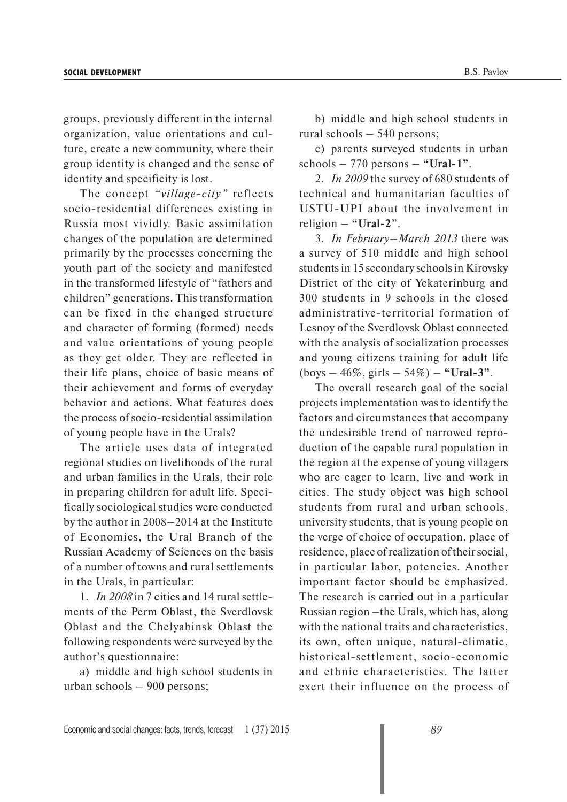groups, previously different in the internal organization, value orientations and culture, create a new community, where their group identity is changed and the sense of identity and specificity is lost.

The concept *"village-city"* reflects socio-residential differences existing in Russia most vividly. Basic assimilation changes of the population are determined primarily by the processes concerning the youth part of the society and manifested in the transformed lifestyle of "fathers and children" generations. This transformation can be fixed in the changed structure and character of forming (formed) needs and value orientations of young people as they get older. They are reflected in their life plans, choice of basic means of their achievement and forms of everyday behavior and actions. What features does the process of socio-residential assimilation of young people have in the Urals?

The article uses data of integrated regional studies on livelihoods of the rural and urban families in the Urals, their role in preparing children for adult life. Specifically sociological studies were conducted by the author in 2008–2014 at the Institute of Economics, the Ural Branch of the Russian Academy of Sciences on the basis of a number of towns and rural settlements in the Urals, in particular:

1. *In 2008* in 7 cities and 14 rural settlements of the Perm Oblast, the Sverdlovsk Oblast and the Chelyabinsk Oblast the following respondents were surveyed by the author's questionnaire:

a) middle and high school students in urban schools – 900 persons;

b) middle and high school students in rural schools – 540 persons;

c) parents surveyed students in urban schools – 770 persons – **"Ural-1"**.

2. *In 2009* the survey of 680 students of technical and humanitarian faculties of USTU-UPI about the involvement in religion – **"Ural-2**".

3. *In February–March 2013* there was a survey of 510 middle and high school students in 15 secondary schools in Kirovsky District of the city of Yekaterinburg and 300 students in 9 schools in the closed administrative-territorial formation of Lesnoy of the Sverdlovsk Oblast connected with the analysis of socialization processes and young citizens training for adult life (boys – 46%, girls – 54%) – **"Ural-3"**.

The overall research goal of the social projects implementation was to identify the factors and circumstances that accompany the undesirable trend of narrowed reproduction of the capable rural population in the region at the expense of young villagers who are eager to learn, live and work in cities. The study object was high school students from rural and urban schools, university students, that is young people on the verge of choice of occupation, place of residence, place of realization of their social, in particular labor, potencies. Another important factor should be emphasized. The research is carried out in a particular Russian region –the Urals, which has, along with the national traits and characteristics, its own, often unique, natural-climatic, historical-settlement, socio-economic and ethnic characteristics. The latter exert their influence on the process of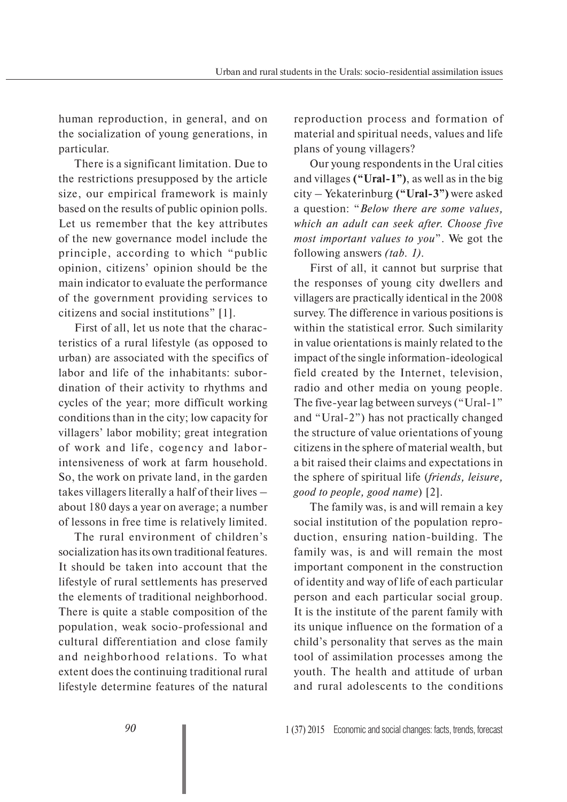human reproduction, in general, and on the socialization of young generations, in particular.

There is a significant limitation. Due to the restrictions presupposed by the article size, our empirical framework is mainly based on the results of public opinion polls. Let us remember that the key attributes of the new governance model include the principle, according to which "public opinion, citizens' opinion should be the main indicator to evaluate the performance of the government providing services to citizens and social institutions" [1].

First of all, let us note that the characteristics of a rural lifestyle (as opposed to urban) are associated with the specifics of labor and life of the inhabitants: subordination of their activity to rhythms and cycles of the year; more difficult working conditions than in the city; low capacity for villagers' labor mobility; great integration of work and life, cogency and laborintensiveness of work at farm household. So, the work on private land, in the garden takes villagers literally a half of their lives – about 180 days a year on average; a number of lessons in free time is relatively limited.

The rural environment of children's socialization has its own traditional features. It should be taken into account that the lifestyle of rural settlements has preserved the elements of traditional neighborhood. There is quite a stable composition of the population, weak socio-professional and cultural differentiation and close family and neighborhood relations. To what extent does the continuing traditional rural lifestyle determine features of the natural reproduction process and formation of material and spiritual needs, values and life plans of young villagers?

Our young respondents in the Ural cities and villages **("Ural-1")**, as well as in the big city – Yekaterinburg **("Ural-3")** were asked a question: "*Below there are some values, which an adult can seek after. Choose five most important values to you*". We got the following answers *(tab. 1).*

First of all, it cannot but surprise that the responses of young city dwellers and villagers are practically identical in the 2008 survey. The difference in various positions is within the statistical error. Such similarity in value orientations is mainly related to the impact of the single information-ideological field created by the Internet, television, radio and other media on young people. The five-year lag between surveys ("Ural-1" and "Ural-2") has not practically changed the structure of value orientations of young citizens in the sphere of material wealth, but a bit raised their claims and expectations in the sphere of spiritual life (*friends, leisure, good to people, good name*) [2].

The family was, is and will remain a key social institution of the population reproduction, ensuring nation-building. The family was, is and will remain the most important component in the construction of identity and way of life of each particular person and each particular social group. It is the institute of the parent family with its unique influence on the formation of a child's personality that serves as the main tool of assimilation processes among the youth. The health and attitude of urban and rural adolescents to the conditions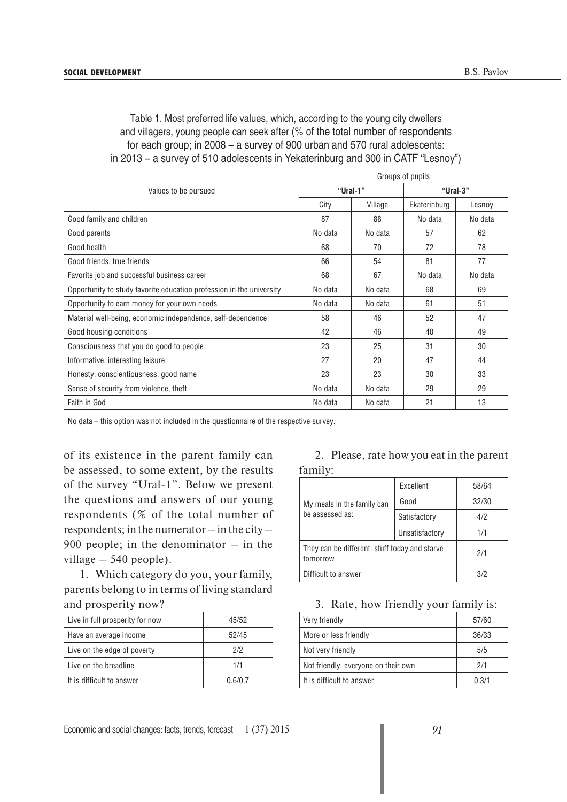| Table 1. Most preferred life values, which, according to the young city dwellers |
|----------------------------------------------------------------------------------|
| and villagers, young people can seek after (% of the total number of respondents |
| for each group; in 2008 – a survey of 900 urban and 570 rural adolescents:       |
| in 2013 – a survey of 510 adolescents in Yekaterinburg and 300 in CATF "Lesnoy") |

| Groups of pupils                                                                                |          |         |              |         |
|-------------------------------------------------------------------------------------------------|----------|---------|--------------|---------|
| Values to be pursued                                                                            | "Ural-1" |         | "Ural-3"     |         |
|                                                                                                 | City     | Village | Ekaterinburg | Lesnoy  |
| Good family and children                                                                        | 87       | 88      | No data      | No data |
| Good parents                                                                                    | No data  | No data | 57           | 62      |
| Good health                                                                                     | 68       | 70      | 72           | 78      |
| Good friends, true friends                                                                      | 66       | 54      | 81           | 77      |
| Favorite job and successful business career                                                     | 68       | 67      | No data      | No data |
| Opportunity to study favorite education profession in the university                            | No data  | No data | 68           | 69      |
| Opportunity to earn money for your own needs                                                    | No data  | No data | 61           | 51      |
| Material well-being, economic independence, self-dependence                                     | 58       | 46      | 52           | 47      |
| Good housing conditions                                                                         | 42       | 46      | 40           | 49      |
| Consciousness that you do good to people                                                        | 23       | 25      | 31           | 30      |
| Informative, interesting leisure                                                                | 27       | 20      | 47           | 44      |
| Honesty, conscientiousness, good name                                                           | 23       | 23      | 30           | 33      |
| Sense of security from violence, theft                                                          | No data  | No data | 29           | 29      |
| Faith in God                                                                                    | No data  | No data | 21           | 13      |
| بمسترم وباللومومومر وطلائم وسأوموه الموسورة وطلاوا المواسطين والمواطور والمستلوم واطلب والملواة |          |         |              |         |

No data – this option was not included in the questionnaire of the respective survey.

of its existence in the parent family can be assessed, to some extent, by the results of the survey "Ural-1". Below we present the questions and answers of our young respondents (% of the total number of respondents; in the numerator – in the city – 900 people; in the denominator  $-$  in the village – 540 people).

1. Which category do you, your family, parents belong to in terms of living standard and prosperity now?

| Live in full prosperity for now | 45/52   |
|---------------------------------|---------|
| Have an average income          | 52/45   |
| Live on the edge of poverty     | 2/2     |
| Live on the breadline           | 1/1     |
| It is difficult to answer       | 0.6/0.7 |

#### 2. Please, rate how you eat in the parent family:

|                                                           | Excellent      | 58/64 |
|-----------------------------------------------------------|----------------|-------|
| My meals in the family can                                | Good           | 32/30 |
| be assessed as:                                           | Satisfactory   | 4/2   |
|                                                           | Unsatisfactory | 1/1   |
| They can be different: stuff today and starve<br>tomorrow |                | 2/1   |
| Difficult to answer                                       |                |       |

#### 3. Rate, how friendly your family is:

| Very friendly                       | 57/60 |
|-------------------------------------|-------|
| More or less friendly               | 36/33 |
| Not very friendly                   | 5/5   |
| Not friendly, everyone on their own | 2/1   |
| It is difficult to answer           | 0.3/1 |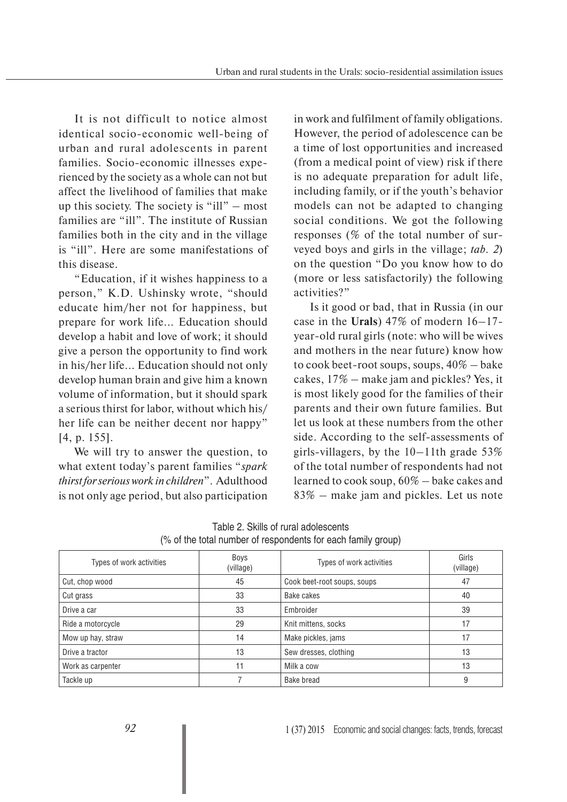It is not difficult to notice almost identical socio-economic well-being of urban and rural adolescents in parent families. Socio-economic illnesses experienced by the society as a whole can not but affect the livelihood of families that make up this society. The society is "ill" – most families are "ill". The institute of Russian families both in the city and in the village is "ill". Here are some manifestations of this disease.

"Education, if it wishes happiness to a person," K.D. Ushinsky wrote, "should educate him/her not for happiness, but prepare for work life... Education should develop a habit and love of work; it should give a person the opportunity to find work in his/her life... Education should not only develop human brain and give him a known volume of information, but it should spark a serious thirst for labor, without which his/ her life can be neither decent nor happy" [4, p. 155].

We will try to answer the question, to what extent today's parent families "*spark thirst for serious work in children*". Adulthood is not only age period, but also participation in work and fulfilment of family obligations. However, the period of adolescence can be a time of lost opportunities and increased (from a medical point of view) risk if there is no adequate preparation for adult life, including family, or if the youth's behavior models can not be adapted to changing social conditions. We got the following responses (% of the total number of surveyed boys and girls in the village; *tab. 2*) on the question "Do you know how to do (more or less satisfactorily) the following activities?"

Is it good or bad, that in Russia (in our case in the **Urals**) 47% of modern 16–17 year-old rural girls (note: who will be wives and mothers in the near future) know how to cook beet-root soups, soups,  $40\%$  – bake cakes, 17% – make jam and pickles? Yes, it is most likely good for the families of their parents and their own future families. But let us look at these numbers from the other side. According to the self-assessments of girls-villagers, by the  $10-11$ th grade 53% of the total number of respondents had not learned to cook soup, 60% – bake cakes and 83% – make jam and pickles. Let us note

| Types of work activities | Boys<br>(village) | Types of work activities    | Girls<br>(village) |
|--------------------------|-------------------|-----------------------------|--------------------|
| Cut, chop wood           | 45                | Cook beet-root soups, soups | 47                 |
| Cut grass                | 33                | Bake cakes                  | 40                 |
| Drive a car              | 33                | Embroider                   | 39                 |
| Ride a motorcycle        | 29                | Knit mittens, socks         | 17                 |
| Mow up hay, straw        | 14                | Make pickles, jams          | 17                 |
| Drive a tractor          | 13                | Sew dresses, clothing       | 13                 |
| Work as carpenter        | 11                | Milk a cow                  | 13                 |
| Tackle up                |                   | Bake bread                  | 9                  |

| Table 2. Skills of rural adolescents                         |  |
|--------------------------------------------------------------|--|
| (% of the total number of respondents for each family group) |  |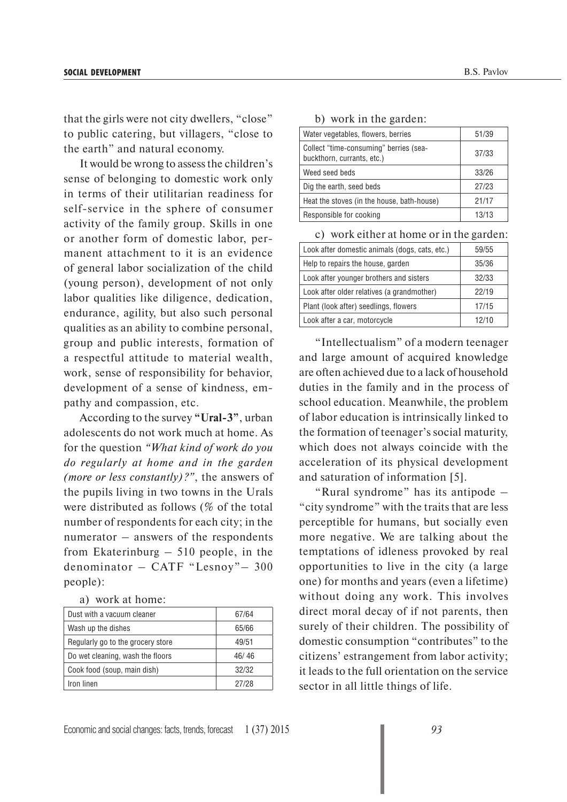that the girls were not city dwellers, "close" to public catering, but villagers, "close to the earth" and natural economy.

It would be wrong to assess the children's sense of belonging to domestic work only in terms of their utilitarian readiness for self-service in the sphere of consumer activity of the family group. Skills in one or another form of domestic labor, permanent attachment to it is an evidence of general labor socialization of the child (young person), development of not only labor qualities like diligence, dedication, endurance, agility, but also such personal qualities as an ability to combine personal, group and public interests, formation of a respectful attitude to material wealth, work, sense of responsibility for behavior, development of a sense of kindness, empathy and compassion, etc.

According to the survey **"Ural-3"**, urban adolescents do not work much at home. As for the question *"What kind of work do you do regularly at home and in the garden (more or less constantly)?"*, the answers of the pupils living in two towns in the Urals were distributed as follows (% of the total number of respondents for each city; in the numerator – answers of the respondents from Ekaterinburg – 510 people, in the denominator – CATF "Lesnoy"– 300 people):

| Dust with a vacuum cleaner        | 67/64 |
|-----------------------------------|-------|
| Wash up the dishes                | 65/66 |
| Regularly go to the grocery store | 49/51 |
| Do wet cleaning, wash the floors  | 46/46 |
| Cook food (soup, main dish)       | 32/32 |
| Iron linen                        | 27/28 |

|  |  |  |  | b) work in the garden: |
|--|--|--|--|------------------------|
|--|--|--|--|------------------------|

| Water vegetables, flowers, berries                                   | 51/39 |
|----------------------------------------------------------------------|-------|
| Collect "time-consuming" berries (sea-<br>buckthorn, currants, etc.) | 37/33 |
| Weed seed beds                                                       | 33/26 |
| Dig the earth, seed beds                                             | 27/23 |
| Heat the stoves (in the house, bath-house)                           | 21/17 |
| Responsible for cooking                                              | 13/13 |

c) work either at home or in the garden:

| Look after domestic animals (dogs, cats, etc.) | 59/55 |
|------------------------------------------------|-------|
| Help to repairs the house, garden              | 35/36 |
| Look after younger brothers and sisters        | 32/33 |
| Look after older relatives (a grandmother)     | 22/19 |
| Plant (look after) seedlings, flowers          | 17/15 |
| Look after a car, motorcycle                   | 12/10 |

"Intellectualism" of a modern teenager and large amount of acquired knowledge are often achieved due to a lack of household duties in the family and in the process of school education. Meanwhile, the problem of labor education is intrinsically linked to the formation of teenager's social maturity, which does not always coincide with the acceleration of its physical development and saturation of information [5].

"Rural syndrome" has its antipode – "city syndrome" with the traits that are less perceptible for humans, but socially even more negative. We are talking about the temptations of idleness provoked by real opportunities to live in the city (a large one) for months and years (even a lifetime) without doing any work. This involves direct moral decay of if not parents, then surely of their children. The possibility of domestic consumption "contributes" to the citizens' estrangement from labor activity; it leads to the full orientation on the service sector in all little things of life.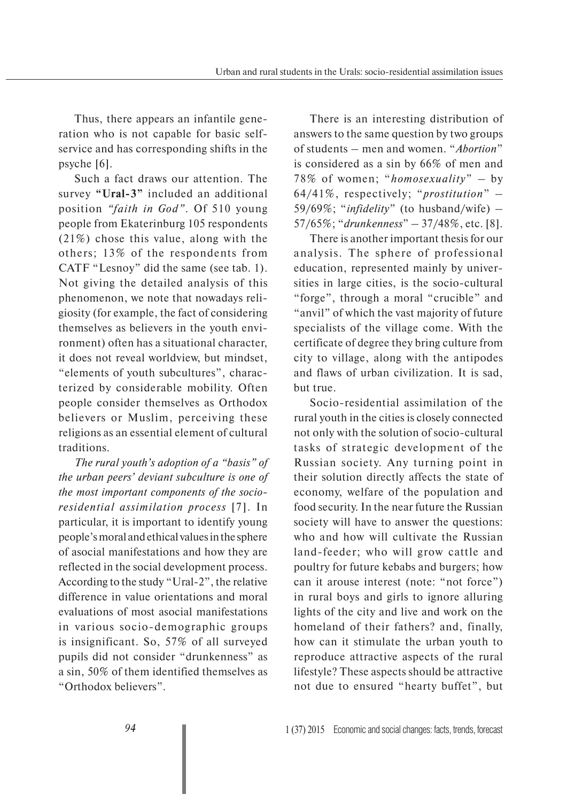Thus, there appears an infantile generation who is not capable for basic selfservice and has corresponding shifts in the psyche [6].

Such a fact draws our attention. The survey **"Ural-3"** included an additional position *"faith in God"*. Of 510 young people from Ekaterinburg 105 respondents (21%) chose this value, along with the others; 13% of the respondents from CATF "Lesnoy" did the same (see tab. 1). Not giving the detailed analysis of this phenomenon, we note that nowadays religiosity (for example, the fact of considering themselves as believers in the youth environment) often has a situational character, it does not reveal worldview, but mindset, "elements of youth subcultures", characterized by considerable mobility. Often people consider themselves as Orthodox believers or Muslim, perceiving these religions as an essential element of cultural traditions.

*The rural youth's adoption of a "basis" of the urban peers' deviant subculture is one of the most important components of the socioresidential assimilation process* [7]. In particular, it is important to identify young people's moral and ethical values in the sphere of asocial manifestations and how they are reflected in the social development process. According to the study "Ural-2", the relative difference in value orientations and moral evaluations of most asocial manifestations in various socio-demographic groups is insignificant. So, 57% of all surveyed pupils did not consider "drunkenness" as a sin, 50% of them identified themselves as "Orthodox believers".

There is an interesting distribution of answers to the same question by two groups of students – men and women. "*Abortion*" is considered as a sin by 66% of men and 78% of women; "*homosexuality*" – by 64/41%, respectively; "*prostitution*" – 59/69%; "*infidelity*" (to husband/wife) – 57/65%; "*drunkenness*" – 37/48%, etc. [8].

There is another important thesis for our analysis. The sphere of professional education, represented mainly by universities in large cities, is the socio-cultural "forge", through a moral "crucible" and "anvil" of which the vast majority of future specialists of the village come. With the certificate of degree they bring culture from city to village, along with the antipodes and flaws of urban civilization. It is sad, but true.

Socio-residential assimilation of the rural youth in the cities is closely connected not only with the solution of socio-cultural tasks of strategic development of the Russian society. Any turning point in their solution directly affects the state of economy, welfare of the population and food security. In the near future the Russian society will have to answer the questions: who and how will cultivate the Russian land-feeder; who will grow cattle and poultry for future kebabs and burgers; how can it arouse interest (note: "not force") in rural boys and girls to ignore alluring lights of the city and live and work on the homeland of their fathers? and, finally, how can it stimulate the urban youth to reproduce attractive aspects of the rural lifestyle? These aspects should be attractive not due to ensured "hearty buffet", but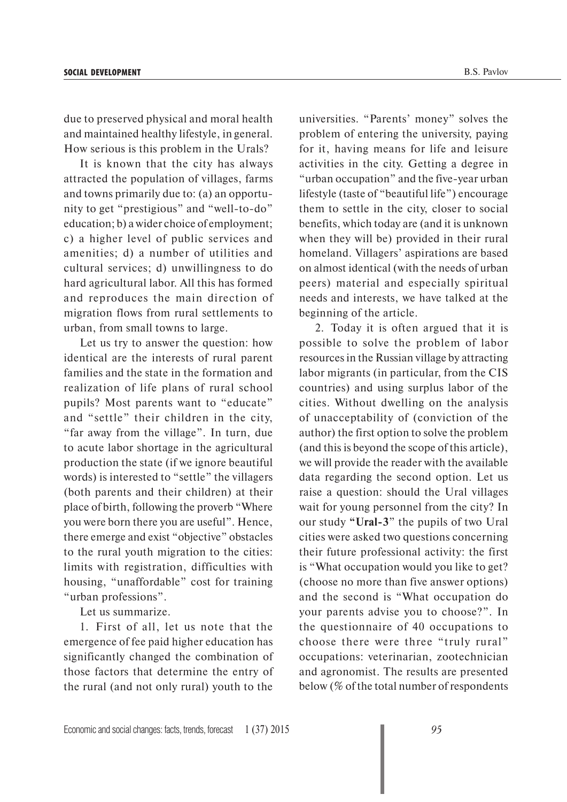due to preserved physical and moral health and maintained healthy lifestyle, in general. How serious is this problem in the Urals?

It is known that the city has always attracted the population of villages, farms and towns primarily due to: (a) an opportunity to get "prestigious" and "well-to-do" education; b) a wider choice of employment; c) a higher level of public services and amenities; d) a number of utilities and cultural services; d) unwillingness to do hard agricultural labor. All this has formed and reproduces the main direction of migration flows from rural settlements to urban, from small towns to large.

Let us try to answer the question: how identical are the interests of rural parent families and the state in the formation and realization of life plans of rural school pupils? Most parents want to "educate" and "settle" their children in the city, "far away from the village". In turn, due to acute labor shortage in the agricultural production the state (if we ignore beautiful words) is interested to "settle" the villagers (both parents and their children) at their place of birth, following the proverb "Where you were born there you are useful". Hence, there emerge and exist "objective" obstacles to the rural youth migration to the cities: limits with registration, difficulties with housing, "unaffordable" cost for training "urban professions".

Let us summarize.

1. First of all, let us note that the emergence of fee paid higher education has significantly changed the combination of those factors that determine the entry of the rural (and not only rural) youth to the

universities. "Parents' money" solves the problem of entering the university, paying for it, having means for life and leisure activities in the city. Getting a degree in "urban occupation" and the five-year urban lifestyle (taste of "beautiful life") encourage them to settle in the city, closer to social benefits, which today are (and it is unknown when they will be) provided in their rural homeland. Villagers' aspirations are based on almost identical (with the needs of urban peers) material and especially spiritual needs and interests, we have talked at the beginning of the article.

2. Today it is often argued that it is possible to solve the problem of labor resources in the Russian village by attracting labor migrants (in particular, from the CIS countries) and using surplus labor of the cities. Without dwelling on the analysis of unacceptability of (conviction of the author) the first option to solve the problem (and this is beyond the scope of this article), we will provide the reader with the available data regarding the second option. Let us raise a question: should the Ural villages wait for young personnel from the city? In our study **"Ural-3**" the pupils of two Ural cities were asked two questions concerning their future professional activity: the first is "What occupation would you like to get? (choose no more than five answer options) and the second is "What occupation do your parents advise you to choose?". In the questionnaire of 40 occupations to choose there were three "truly rural" occupations: veterinarian, zootechnician and agronomist. The results are presented below (% of the total number of respondents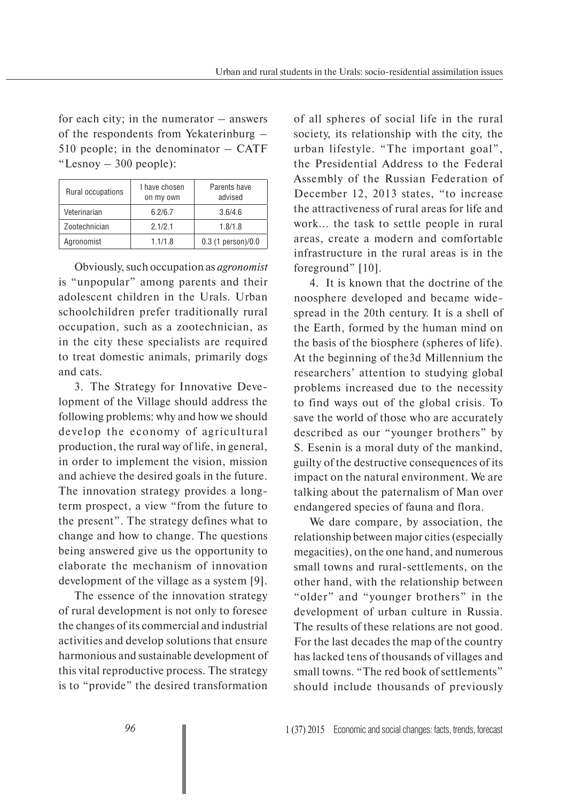for each city; in the numerator – answers of the respondents from Yekaterinburg – 510 people; in the denominator – CATF "Lesnoy – 300 people):

| Rural occupations | I have chosen<br>on my own | Parents have<br>advised |
|-------------------|----------------------------|-------------------------|
| Veterinarian      | 6.2/6.7                    | 3.6/4.6                 |
| Zootechnician     | 2.1/2.1                    | 1.8/1.8                 |
| Agronomist        | 1.1/1.8                    | $0.3$ (1 person)/ $0.0$ |

Obviously, such occupation as *agronomist* is "unpopular" among parents and their adolescent children in the Urals. Urban schoolchildren prefer traditionally rural occupation, such as a zootechnician, as in the city these specialists are required to treat domestic animals, primarily dogs and cats.

3. The Strategy for Innovative Development of the Village should address the following problems: why and how we should develop the economy of agricultural production, the rural way of life, in general, in order to implement the vision, mission and achieve the desired goals in the future. The innovation strategy provides a longterm prospect, a view "from the future to the present". The strategy defines what to change and how to change. The questions being answered give us the opportunity to elaborate the mechanism of innovation development of the village as a system [9].

The essence of the innovation strategy of rural development is not only to foresee the changes of its commercial and industrial activities and develop solutions that ensure harmonious and sustainable development of this vital reproductive process. The strategy is to "provide" the desired transformation

of all spheres of social life in the rural society, its relationship with the city, the urban lifestyle. "The important goal", the Presidential Address to the Federal Assembly of the Russian Federation of December 12, 2013 states, "to increase the attractiveness of rural areas for life and work... the task to settle people in rural areas, create a modern and comfortable infrastructure in the rural areas is in the foreground" [10].

4. It is known that the doctrine of the noosphere developed and became widespread in the 20th century. It is a shell of the Earth, formed by the human mind on the basis of the biosphere (spheres of life). At the beginning of the3d Millennium the researchers' attention to studying global problems increased due to the necessity to find ways out of the global crisis. To save the world of those who are accurately described as our "younger brothers" by S. Esenin is a moral duty of the mankind, guilty of the destructive consequences of its impact on the natural environment. We are talking about the paternalism of Man over endangered species of fauna and flora.

We dare compare, by association, the relationship between major cities (especially megacities), on the one hand, and numerous small towns and rural-settlements, on the other hand, with the relationship between "older" and "younger brothers" in the development of urban culture in Russia. The results of these relations are not good. For the last decades the map of the country has lacked tens of thousands of villages and small towns. "The red book of settlements" should include thousands of previously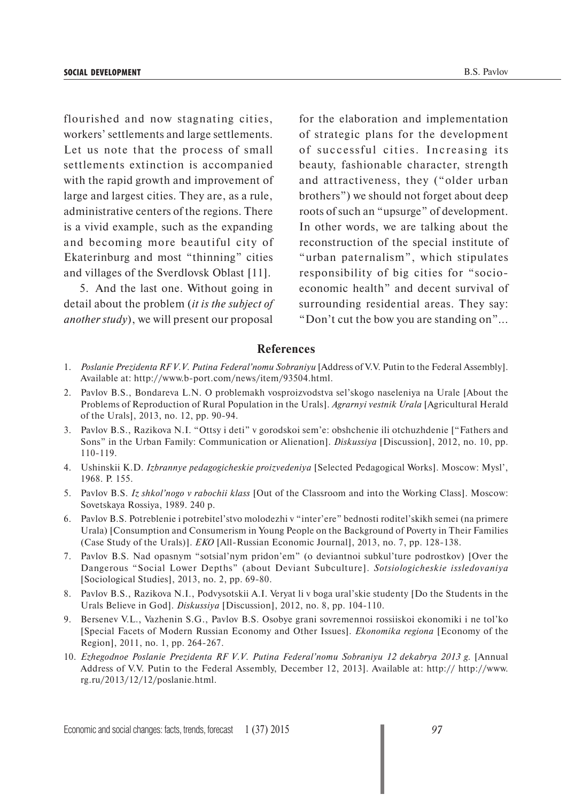flourished and now stagnating cities, workers' settlements and large settlements. Let us note that the process of small settlements extinction is accompanied with the rapid growth and improvement of large and largest cities. They are, as a rule, administrative centers of the regions. There is a vivid example, such as the expanding and becoming more beautiful city of Ekaterinburg and most "thinning" cities and villages of the Sverdlovsk Oblast [11].

5. And the last one. Without going in detail about the problem (*it is the subject of another study*), we will present our proposal

for the elaboration and implementation of strategic plans for the development of successful cities. Increasing its beauty, fashionable character, strength and attractiveness, they ("older urban brothers") we should not forget about deep roots of such an "upsurge" of development. In other words, we are talking about the reconstruction of the special institute of "urban paternalism", which stipulates responsibility of big cities for "socioeconomic health" and decent survival of surrounding residential areas. They say: "Don't cut the bow you are standing on"...

#### **References**

- 1. *Poslanie Prezidenta RF V.V. Putina Federal'nomu Sobraniyu* [Address of V.V. Putin to the Federal Assembly]. Available at: http://www.b-port.com/news/item/93504.html.
- 2. Pavlov B.S., Bondareva L.N. O problemakh vosproizvodstva sel'skogo naseleniya na Urale [About the Problems of Reproduction of Rural Population in the Urals]. *Agrarnyi vestnik Urala* [Agricultural Herald of the Urals], 2013, no. 12, pp. 90-94.
- 3. Pavlov B.S., Razikova N.I. "Ottsy i deti" v gorodskoi sem'e: obshchenie ili otchuzhdenie ["Fathers and Sons" in the Urban Family: Communication or Alienation]. *Diskussiya* [Discussion], 2012, no. 10, pp. 110-119.
- 4. Ushinskii K.D. *Izbrannye pedagogicheskie proizvedeniya* [Selected Pedagogical Works]. Moscow: Mysl', 1968. P. 155.
- 5. Pavlov B.S. *Iz shkol'nogo v rabochii klass* [Out of the Classroom and into the Working Class]. Moscow: Sovetskaya Rossiya, 1989. 240 p.
- 6. Pavlov B.S. Potreblenie i potrebitel'stvo molodezhi v "inter'ere" bednosti roditel'skikh semei (na primere Urala) [Consumption and Consumerism in Young People on the Background of Poverty in Their Families (Case Study of the Urals)]. *EKO* [All-Russian Economic Journal], 2013, no. 7, pp. 128-138.
- 7. Pavlov B.S. Nad opasnym "sotsial'nym pridon'em" (o deviantnoi subkul'ture podrostkov) [Over the Dangerous "Social Lower Depths" (about Deviant Subculture]. *Sotsiologicheskie issledovaniya* [Sociological Studies], 2013, no. 2, pp. 69-80.
- 8. Pavlov B.S., Razikova N.I., Podvysotskii A.I. Veryat li v boga ural'skie studenty [Do the Students in the Urals Believe in God]. *Diskussiya* [Discussion], 2012, no. 8, pp. 104-110.
- 9. Bersenev V.L., Vazhenin S.G., Pavlov B.S. Osobye grani sovremennoi rossiiskoi ekonomiki i ne tol'ko [Special Facets of Modern Russian Economy and Other Issues]. *Ekonomika regiona* [Economy of the Region], 2011, no. 1, pp. 264-267.
- 10. *Ezhegodnoe Poslanie Prezidenta RF V.V. Putina Federal'nomu Sobraniyu 12 dekabrya 2013 g.* [Annual Address of V.V. Putin to the Federal Assembly, December 12, 2013]. Available at: http:// http://www. rg.ru/2013/12/12/poslanie.html.